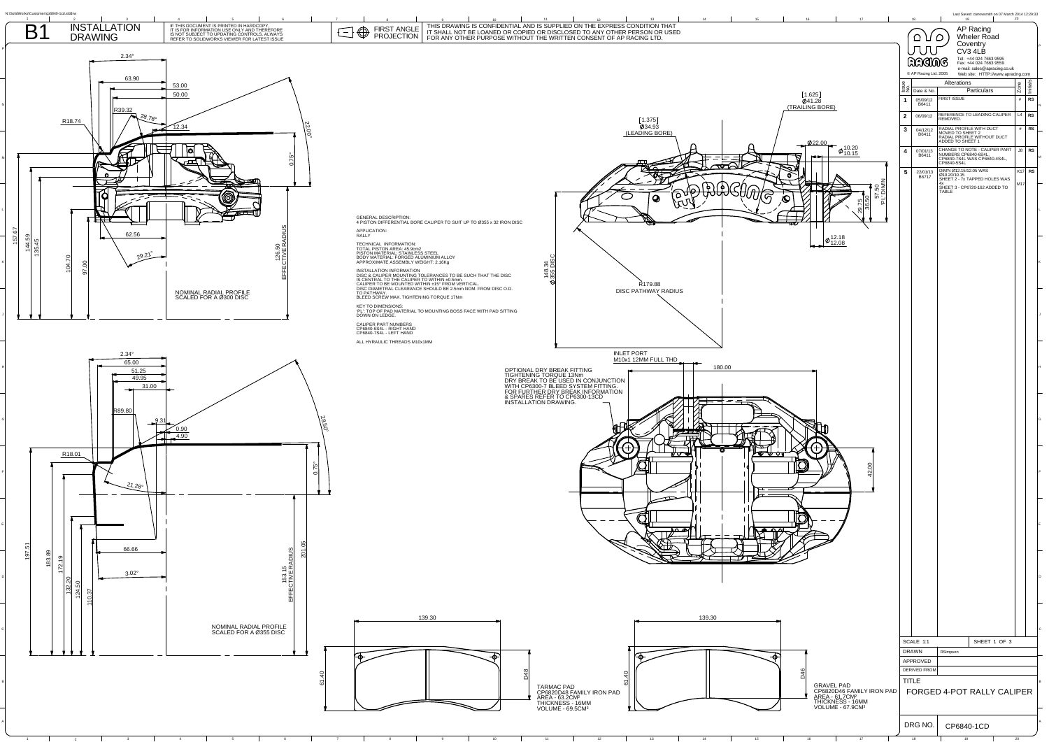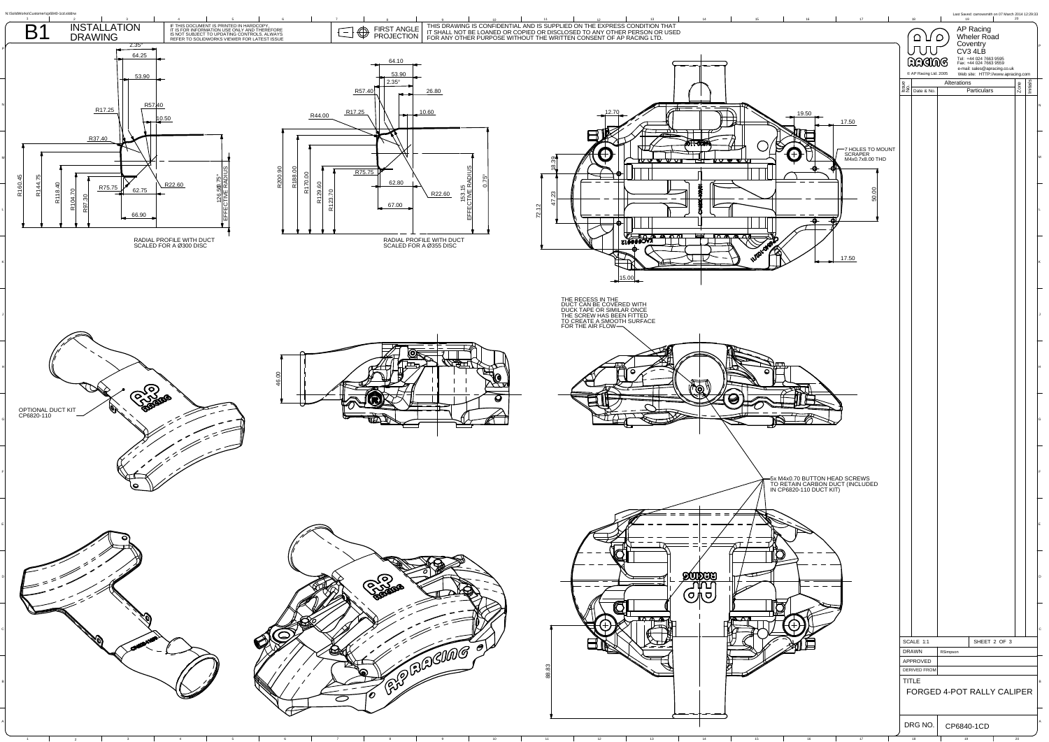